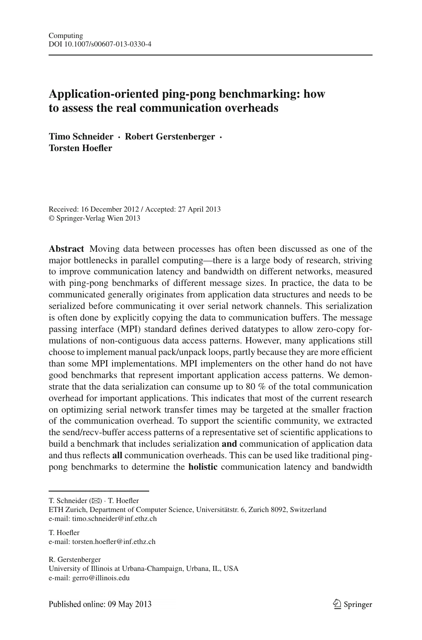# **Application-oriented ping-pong benchmarking: how to assess the real communication overheads**

**Timo Schneider · Robert Gerstenberger · Torsten Hoefler**

Received: 16 December 2012 / Accepted: 27 April 2013 © Springer-Verlag Wien 2013

**Abstract** Moving data between processes has often been discussed as one of the major bottlenecks in parallel computing—there is a large body of research, striving to improve communication latency and bandwidth on different networks, measured with ping-pong benchmarks of different message sizes. In practice, the data to be communicated generally originates from application data structures and needs to be serialized before communicating it over serial network channels. This serialization is often done by explicitly copying the data to communication buffers. The message passing interface (MPI) standard defines derived datatypes to allow zero-copy formulations of non-contiguous data access patterns. However, many applications still choose to implement manual pack/unpack loops, partly because they are more efficient than some MPI implementations. MPI implementers on the other hand do not have good benchmarks that represent important application access patterns. We demonstrate that the data serialization can consume up to 80 % of the total communication overhead for important applications. This indicates that most of the current research on optimizing serial network transfer times may be targeted at the smaller fraction of the communication overhead. To support the scientific community, we extracted the send/recv-buffer access patterns of a representative set of scientific applications to build a benchmark that includes serialization **and** communication of application data and thus reflects **all** communication overheads. This can be used like traditional pingpong benchmarks to determine the **holistic** communication latency and bandwidth

T. Schneider ( $\boxtimes$ ) · T. Hoefler

R. Gerstenberger University of Illinois at Urbana-Champaign, Urbana, IL, USA e-mail: gerro@illinois.edu

ETH Zurich, Department of Computer Science, Universitätstr. 6, Zurich 8092, Switzerland e-mail: timo.schneider@inf.ethz.ch

T. Hoefler e-mail: torsten.hoefler@inf.ethz.ch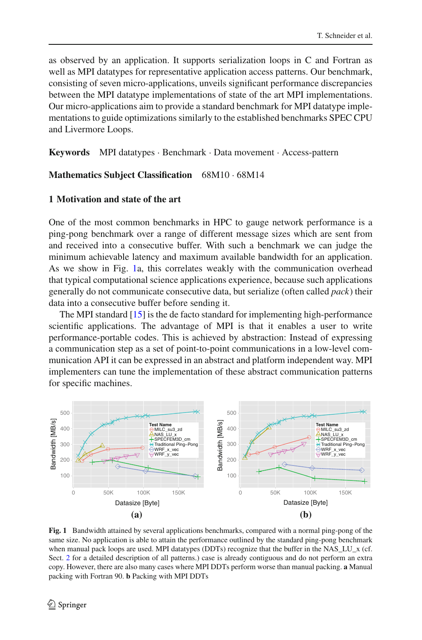as observed by an application. It supports serialization loops in C and Fortran as well as MPI datatypes for representative application access patterns. Our benchmark, consisting of seven micro-applications, unveils significant performance discrepancies between the MPI datatype implementations of state of the art MPI implementations. Our micro-applications aim to provide a standard benchmark for MPI datatype implementations to guide optimizations similarly to the established benchmarks SPEC CPU and Livermore Loops.

**Keywords** MPI datatypes · Benchmark · Data movement · Access-pattern

### **Mathematics Subject Classification** 68M10 · 68M14

## **1 Motivation and state of the art**

One of the most common benchmarks in HPC to gauge network performance is a ping-pong benchmark over a range of different message sizes which are sent from and received into a consecutive buffer. With such a benchmark we can judge the minimum achievable latency and maximum available bandwidth for an application. As we show in Fig. [1a](#page-1-0), this correlates weakly with the communication overhead that typical computational science applications experience, because such applications generally do not communicate consecutive data, but serialize (often called *pack*) their data into a consecutive buffer before sending it.

The MPI standard [\[15](#page-13-0)] is the de facto standard for implementing high-performance scientific applications. The advantage of MPI is that it enables a user to write performance-portable codes. This is achieved by abstraction: Instead of expressing a communication step as a set of point-to-point communications in a low-level communication API it can be expressed in an abstract and platform independent way. MPI implementers can tune the implementation of these abstract communication patterns for specific machines.



<span id="page-1-0"></span>**Fig. 1** Bandwidth attained by several applications benchmarks, compared with a normal ping-pong of the same size. No application is able to attain the performance outlined by the standard ping-pong benchmark when manual pack loops are used. MPI datatypes (DDTs) recognize that the buffer in the NAS\_LU\_x (cf. Sect. [2](#page-3-0) for a detailed description of all patterns.) case is already contiguous and do not perform an extra copy. However, there are also many cases where MPI DDTs perform worse than manual packing. **a** Manual packing with Fortran 90. **b** Packing with MPI DDTs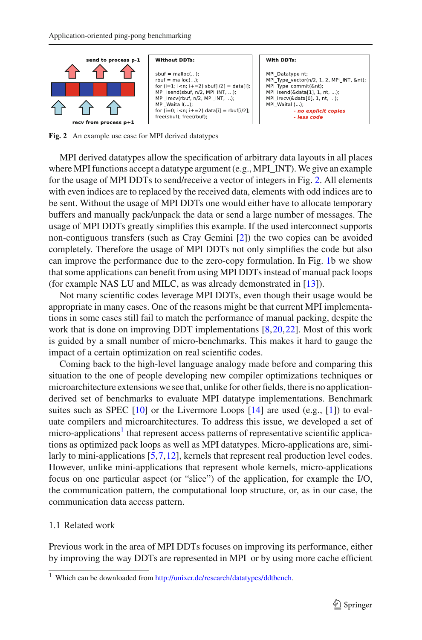

<span id="page-2-0"></span>**Fig. 2** An example use case for MPI derived datatypes

MPI derived datatypes allow the specification of arbitrary data layouts in all places where MPI functions accept a datatype argument (e.g., MPI  $\overline{INT}$ ). We give an example for the usage of MPI DDTs to send/receive a vector of integers in Fig. [2.](#page-2-0) All elements with even indices are to replaced by the received data, elements with odd indices are to be sent. Without the usage of MPI DDTs one would either have to allocate temporary buffers and manually pack/unpack the data or send a large number of messages. The usage of MPI DDTs greatly simplifies this example. If the used interconnect supports non-contiguous transfers (such as Cray Gemini [\[2\]](#page-12-0)) the two copies can be avoided completely. Therefore the usage of MPI DDTs not only simplifies the code but also can improve the performance due to the zero-copy formulation. In Fig. [1b](#page-1-0) we show that some applications can benefit from using MPI DDTs instead of manual pack loops (for example NAS LU and MILC, as was already demonstrated in [\[13](#page-13-1)]).

Not many scientific codes leverage MPI DDTs, even though their usage would be appropriate in many cases. One of the reasons might be that current MPI implementations in some cases still fail to match the performance of manual packing, despite the work that is done on improving DDT implementations [\[8](#page-12-1)[,20](#page-13-2),[22](#page-13-3)]. Most of this work is guided by a small number of micro-benchmarks. This makes it hard to gauge the impact of a certain optimization on real scientific codes.

Coming back to the high-level language analogy made before and comparing this situation to the one of people developing new compiler optimizations techniques or microarchitecture extensions we see that, unlike for other fields, there is no applicationderived set of benchmarks to evaluate MPI datatype implementations. Benchmark suites such as SPEC [\[10\]](#page-13-4) or the Livermore Loops [\[14](#page-13-5)] are used (e.g., [\[1](#page-12-2)]) to evaluate compilers and microarchitectures. To address this issue, we developed a set of micro-applications<sup>1</sup> that represent access patterns of representative scientific applications as optimized pack loops as well as MPI datatypes. Micro-applications are, simi-larly to mini-applications [\[5](#page-12-3)[,7](#page-12-4)[,12](#page-13-6)], kernels that represent real production level codes. However, unlike mini-applications that represent whole kernels, micro-applications focus on one particular aspect (or "slice") of the application, for example the I/O, the communication pattern, the computational loop structure, or, as in our case, the communication data access pattern.

### 1.1 Related work

Previous work in the area of MPI DDTs focuses on improving its performance, either by improving the way DDTs are represented in MPI or by using more cache efficient

<span id="page-2-1"></span><sup>1</sup> Which can be downloaded from [http://unixer.de/research/datatypes/ddtbench.](http://unixer.de/research/datatypes/ddtbench)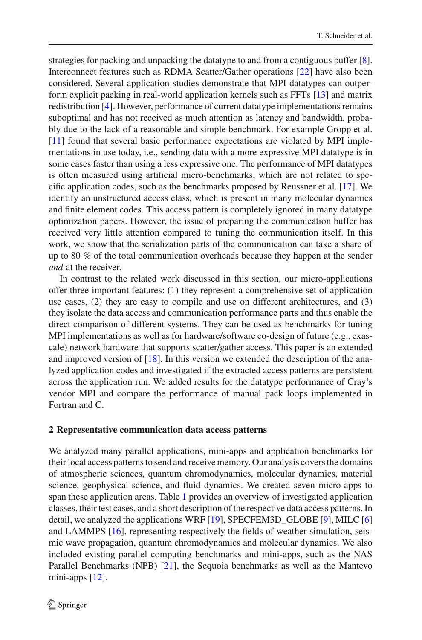strategies for packing and unpacking the datatype to and from a contiguous buffer [\[8](#page-12-1)]. Interconnect features such as RDMA Scatter/Gather operations [\[22](#page-13-3)] have also been considered. Several application studies demonstrate that MPI datatypes can outperform explicit packing in real-world application kernels such as FFTs [\[13](#page-13-1)] and matrix redistribution [\[4](#page-12-5)]. However, performance of current datatype implementations remains suboptimal and has not received as much attention as latency and bandwidth, probably due to the lack of a reasonable and simple benchmark. For example Gropp et al. [\[11](#page-13-7)] found that several basic performance expectations are violated by MPI implementations in use today, i.e., sending data with a more expressive MPI datatype is in some cases faster than using a less expressive one. The performance of MPI datatypes is often measured using artificial micro-benchmarks, which are not related to specific application codes, such as the benchmarks proposed by Reussner et al. [\[17\]](#page-13-8). We identify an unstructured access class, which is present in many molecular dynamics and finite element codes. This access pattern is completely ignored in many datatype optimization papers. However, the issue of preparing the communication buffer has received very little attention compared to tuning the communication itself. In this work, we show that the serialization parts of the communication can take a share of up to 80 % of the total communication overheads because they happen at the sender *and* at the receiver.

In contrast to the related work discussed in this section, our micro-applications offer three important features: (1) they represent a comprehensive set of application use cases, (2) they are easy to compile and use on different architectures, and (3) they isolate the data access and communication performance parts and thus enable the direct comparison of different systems. They can be used as benchmarks for tuning MPI implementations as well as for hardware/software co-design of future (e.g., exascale) network hardware that supports scatter/gather access. This paper is an extended and improved version of [\[18\]](#page-13-9). In this version we extended the description of the analyzed application codes and investigated if the extracted access patterns are persistent across the application run. We added results for the datatype performance of Cray's vendor MPI and compare the performance of manual pack loops implemented in Fortran and C.

### <span id="page-3-0"></span>**2 Representative communication data access patterns**

We analyzed many parallel applications, mini-apps and application benchmarks for their local access patterns to send and receive memory. Our analysis covers the domains of atmospheric sciences, quantum chromodynamics, molecular dynamics, material science, geophysical science, and fluid dynamics. We created seven micro-apps to span these application areas. Table [1](#page-4-0) provides an overview of investigated application classes, their test cases, and a short description of the respective data access patterns. In detail, we analyzed the applications WRF [\[19](#page-13-10)], SPECFEM3D\_GLOBE [\[9\]](#page-13-11), MILC [\[6\]](#page-12-6) and LAMMPS [\[16](#page-13-12)], representing respectively the fields of weather simulation, seismic wave propagation, quantum chromodynamics and molecular dynamics. We also included existing parallel computing benchmarks and mini-apps, such as the NAS Parallel Benchmarks (NPB) [\[21\]](#page-13-13), the Sequoia benchmarks as well as the Mantevo mini-apps [\[12](#page-13-6)].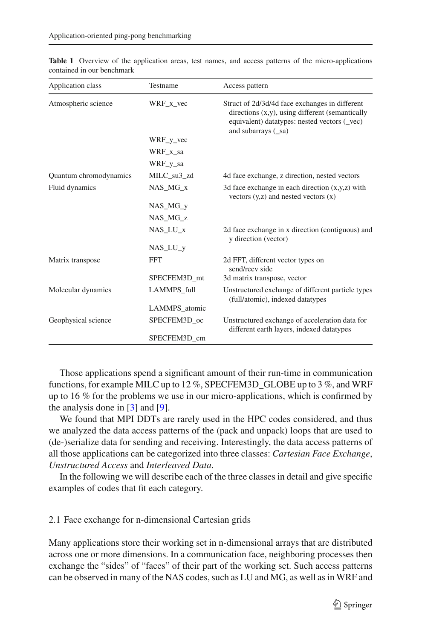| Application class      | Testname           | Access pattern                                                                                                                                                              |
|------------------------|--------------------|-----------------------------------------------------------------------------------------------------------------------------------------------------------------------------|
| Atmospheric science    | WRF x vec          | Struct of 2d/3d/4d face exchanges in different<br>directions (x,y), using different (semantically<br>equivalent) datatypes: nested vectors (_vec)<br>and subarrays $(\_sa)$ |
|                        | $WRF_y$ vec        |                                                                                                                                                                             |
|                        | WRF x sa           |                                                                                                                                                                             |
|                        | WRF_y_sa           |                                                                                                                                                                             |
| Quantum chromodynamics | MILC su3 zd        | 4d face exchange, z direction, nested vectors                                                                                                                               |
| Fluid dynamics         | NAS MG x           | 3d face exchange in each direction $(x,y,z)$ with<br>vectors $(y, z)$ and nested vectors $(x)$                                                                              |
|                        | $NAS_MG_v$         |                                                                                                                                                                             |
|                        | NAS_MG_z           |                                                                                                                                                                             |
|                        | NAS LU x           | 2d face exchange in x direction (contiguous) and<br>y direction (vector)                                                                                                    |
|                        | $NAS_LU_V$         |                                                                                                                                                                             |
| Matrix transpose       | <b>FFT</b>         | 2d FFT, different vector types on<br>send/recy side                                                                                                                         |
|                        | SPECFEM3D mt       | 3d matrix transpose, vector                                                                                                                                                 |
| Molecular dynamics     | <b>LAMMPS</b> full | Unstructured exchange of different particle types<br>(full/atomic), indexed datatypes                                                                                       |
|                        | LAMMPS_atomic      |                                                                                                                                                                             |
| Geophysical science    | SPECFEM3D_oc       | Unstructured exchange of acceleration data for<br>different earth layers, indexed datatypes                                                                                 |
|                        | SPECFEM3D cm       |                                                                                                                                                                             |

<span id="page-4-0"></span>**Table 1** Overview of the application areas, test names, and access patterns of the micro-applications contained in our benchmark

Those applications spend a significant amount of their run-time in communication functions, for example MILC up to 12 %, SPECFEM3D\_GLOBE up to 3 %, and WRF up to 16 % for the problems we use in our micro-applications, which is confirmed by the analysis done in [\[3](#page-12-7)] and [\[9](#page-13-11)].

We found that MPI DDTs are rarely used in the HPC codes considered, and thus we analyzed the data access patterns of the (pack and unpack) loops that are used to (de-)serialize data for sending and receiving. Interestingly, the data access patterns of all those applications can be categorized into three classes: *Cartesian Face Exchange*, *Unstructured Access* and *Interleaved Data*.

In the following we will describe each of the three classes in detail and give specific examples of codes that fit each category.

### 2.1 Face exchange for n-dimensional Cartesian grids

Many applications store their working set in n-dimensional arrays that are distributed across one or more dimensions. In a communication face, neighboring processes then exchange the "sides" of "faces" of their part of the working set. Such access patterns can be observed in many of the NAS codes, such as LU and MG, as well as in WRF and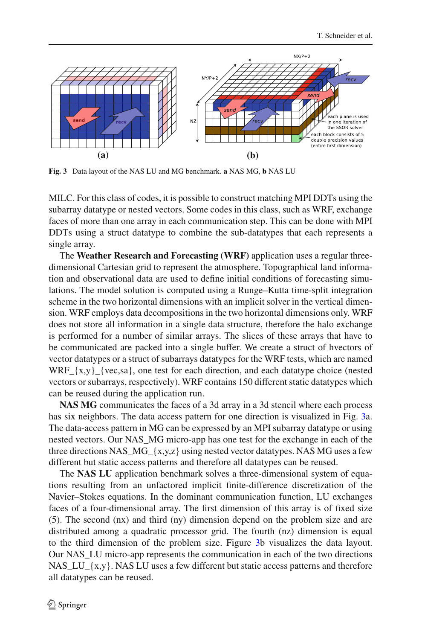

<span id="page-5-0"></span>**Fig. 3** Data layout of the NAS LU and MG benchmark. **a** NAS MG, **b** NAS LU

MILC. For this class of codes, it is possible to construct matching MPI DDTs using the subarray datatype or nested vectors. Some codes in this class, such as WRF, exchange faces of more than one array in each communication step. This can be done with MPI DDTs using a struct datatype to combine the sub-datatypes that each represents a single array.

The **Weather Research and Forecasting (WRF)** application uses a regular threedimensional Cartesian grid to represent the atmosphere. Topographical land information and observational data are used to define initial conditions of forecasting simulations. The model solution is computed using a Runge–Kutta time-split integration scheme in the two horizontal dimensions with an implicit solver in the vertical dimension. WRF employs data decompositions in the two horizontal dimensions only. WRF does not store all information in a single data structure, therefore the halo exchange is performed for a number of similar arrays. The slices of these arrays that have to be communicated are packed into a single buffer. We create a struct of hvectors of vector datatypes or a struct of subarrays datatypes for the WRF tests, which are named WRF  $\{x,y\}$  {vec,sa}, one test for each direction, and each datatype choice (nested vectors or subarrays, respectively). WRF contains 150 different static datatypes which can be reused during the application run.

**NAS MG** communicates the faces of a 3d array in a 3d stencil where each process has six neighbors. The data access pattern for one direction is visualized in Fig. [3a](#page-5-0). The data-access pattern in MG can be expressed by an MPI subarray datatype or using nested vectors. Our NAS\_MG micro-app has one test for the exchange in each of the three directions NAS  $MG_{x,y,z}$  using nested vector datatypes. NAS MG uses a few different but static access patterns and therefore all datatypes can be reused.

The **NAS LU** application benchmark solves a three-dimensional system of equations resulting from an unfactored implicit finite-difference discretization of the Navier–Stokes equations. In the dominant communication function, LU exchanges faces of a four-dimensional array. The first dimension of this array is of fixed size (5). The second (nx) and third (ny) dimension depend on the problem size and are distributed among a quadratic processor grid. The fourth (nz) dimension is equal to the third dimension of the problem size. Figure [3b](#page-5-0) visualizes the data layout. Our NAS\_LU micro-app represents the communication in each of the two directions NAS LU  $\{x,y\}$ . NAS LU uses a few different but static access patterns and therefore all datatypes can be reused.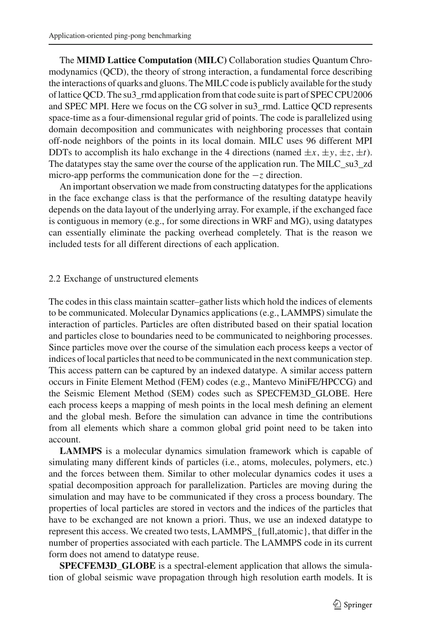The **MIMD Lattice Computation (MILC)** Collaboration studies Quantum Chromodynamics (QCD), the theory of strong interaction, a fundamental force describing the interactions of quarks and gluons. The MILC code is publicly available for the study of lattice QCD. The su3\_rmd application from that code suite is part of SPEC CPU2006 and SPEC MPI. Here we focus on the CG solver in su3\_rmd. Lattice QCD represents space-time as a four-dimensional regular grid of points. The code is parallelized using domain decomposition and communicates with neighboring processes that contain off-node neighbors of the points in its local domain. MILC uses 96 different MPI DDTs to accomplish its halo exchange in the 4 directions (named  $\pm x$ ,  $\pm y$ ,  $\pm z$ ,  $\pm t$ ). The datatypes stay the same over the course of the application run. The MILC\_su3\_zd micro-app performs the communication done for the −*z* direction.

An important observation we made from constructing datatypes for the applications in the face exchange class is that the performance of the resulting datatype heavily depends on the data layout of the underlying array. For example, if the exchanged face is contiguous in memory (e.g., for some directions in WRF and MG), using datatypes can essentially eliminate the packing overhead completely. That is the reason we included tests for all different directions of each application.

## 2.2 Exchange of unstructured elements

The codes in this class maintain scatter–gather lists which hold the indices of elements to be communicated. Molecular Dynamics applications (e.g., LAMMPS) simulate the interaction of particles. Particles are often distributed based on their spatial location and particles close to boundaries need to be communicated to neighboring processes. Since particles move over the course of the simulation each process keeps a vector of indices of local particles that need to be communicated in the next communication step. This access pattern can be captured by an indexed datatype. A similar access pattern occurs in Finite Element Method (FEM) codes (e.g., Mantevo MiniFE/HPCCG) and the Seismic Element Method (SEM) codes such as SPECFEM3D\_GLOBE. Here each process keeps a mapping of mesh points in the local mesh defining an element and the global mesh. Before the simulation can advance in time the contributions from all elements which share a common global grid point need to be taken into account.

**LAMMPS** is a molecular dynamics simulation framework which is capable of simulating many different kinds of particles (i.e., atoms, molecules, polymers, etc.) and the forces between them. Similar to other molecular dynamics codes it uses a spatial decomposition approach for parallelization. Particles are moving during the simulation and may have to be communicated if they cross a process boundary. The properties of local particles are stored in vectors and the indices of the particles that have to be exchanged are not known a priori. Thus, we use an indexed datatype to represent this access. We created two tests, LAMMPS\_{full,atomic}, that differ in the number of properties associated with each particle. The LAMMPS code in its current form does not amend to datatype reuse.

**SPECFEM3D\_GLOBE** is a spectral-element application that allows the simulation of global seismic wave propagation through high resolution earth models. It is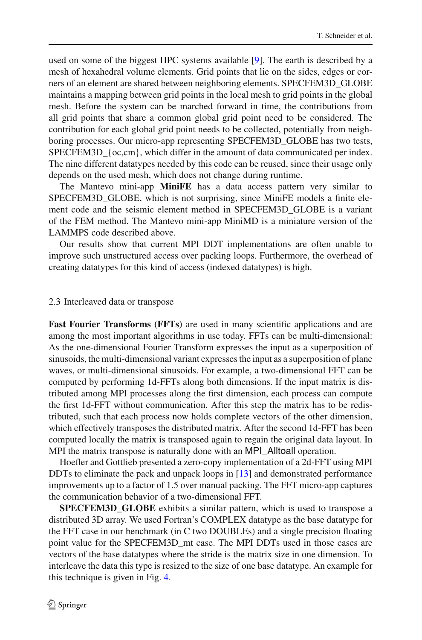used on some of the biggest HPC systems available [\[9](#page-13-11)]. The earth is described by a mesh of hexahedral volume elements. Grid points that lie on the sides, edges or corners of an element are shared between neighboring elements. SPECFEM3D\_GLOBE maintains a mapping between grid points in the local mesh to grid points in the global mesh. Before the system can be marched forward in time, the contributions from all grid points that share a common global grid point need to be considered. The contribution for each global grid point needs to be collected, potentially from neighboring processes. Our micro-app representing SPECFEM3D\_GLOBE has two tests, SPECFEM3D  ${oc, cm}$ , which differ in the amount of data communicated per index. The nine different datatypes needed by this code can be reused, since their usage only depends on the used mesh, which does not change during runtime.

The Mantevo mini-app **MiniFE** has a data access pattern very similar to SPECFEM3D\_GLOBE, which is not surprising, since MiniFE models a finite element code and the seismic element method in SPECFEM3D\_GLOBE is a variant of the FEM method. The Mantevo mini-app MiniMD is a miniature version of the LAMMPS code described above.

Our results show that current MPI DDT implementations are often unable to improve such unstructured access over packing loops. Furthermore, the overhead of creating datatypes for this kind of access (indexed datatypes) is high.

#### 2.3 Interleaved data or transpose

Fast Fourier Transforms (FFTs) are used in many scientific applications and are among the most important algorithms in use today. FFTs can be multi-dimensional: As the one-dimensional Fourier Transform expresses the input as a superposition of sinusoids, the multi-dimensional variant expresses the input as a superposition of plane waves, or multi-dimensional sinusoids. For example, a two-dimensional FFT can be computed by performing 1d-FFTs along both dimensions. If the input matrix is distributed among MPI processes along the first dimension, each process can compute the first 1d-FFT without communication. After this step the matrix has to be redistributed, such that each process now holds complete vectors of the other dimension, which effectively transposes the distributed matrix. After the second 1d-FFT has been computed locally the matrix is transposed again to regain the original data layout. In MPI the matrix transpose is naturally done with an MPI\_Alltoall operation.

Hoefler and Gottlieb presented a zero-copy implementation of a 2d-FFT using MPI DDTs to eliminate the pack and unpack loops in [\[13\]](#page-13-1) and demonstrated performance improvements up to a factor of 1.5 over manual packing. The FFT micro-app captures the communication behavior of a two-dimensional FFT.

**SPECFEM3D\_GLOBE** exhibits a similar pattern, which is used to transpose a distributed 3D array. We used Fortran's COMPLEX datatype as the base datatype for the FFT case in our benchmark (in C two DOUBLEs) and a single precision floating point value for the SPECFEM3D\_mt case. The MPI DDTs used in those cases are vectors of the base datatypes where the stride is the matrix size in one dimension. To interleave the data this type is resized to the size of one base datatype. An example for this technique is given in Fig. [4.](#page-8-0)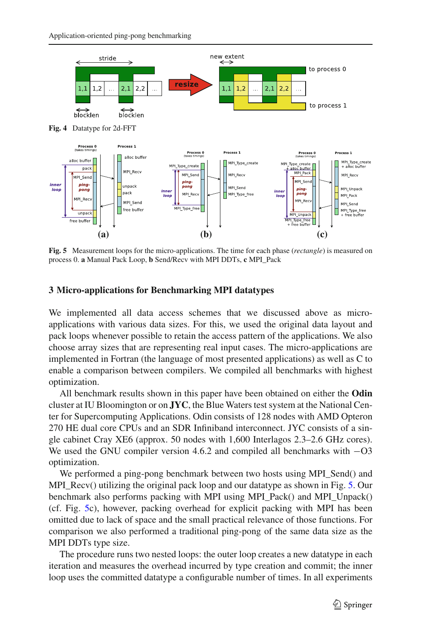<span id="page-8-0"></span>

<span id="page-8-1"></span>**Fig. 5** Measurement loops for the micro-applications. The time for each phase (*rectangle*) is measured on process 0. **a** Manual Pack Loop, **b** Send/Recv with MPI DDTs, **c** MPI\_Pack

#### **3 Micro-applications for Benchmarking MPI datatypes**

We implemented all data access schemes that we discussed above as microapplications with various data sizes. For this, we used the original data layout and pack loops whenever possible to retain the access pattern of the applications. We also choose array sizes that are representing real input cases. The micro-applications are implemented in Fortran (the language of most presented applications) as well as C to enable a comparison between compilers. We compiled all benchmarks with highest optimization.

All benchmark results shown in this paper have been obtained on either the **Odin** cluster at IU Bloomington or on **JYC**, the Blue Waters test system at the National Center for Supercomputing Applications. Odin consists of 128 nodes with AMD Opteron 270 HE dual core CPUs and an SDR Infiniband interconnect. JYC consists of a single cabinet Cray XE6 (approx. 50 nodes with 1,600 Interlagos 2.3–2.6 GHz cores). We used the GNU compiler version 4.6.2 and compiled all benchmarks with −O3 optimization.

We performed a ping-pong benchmark between two hosts using MPI\_Send() and MPI\_Recv() utilizing the original pack loop and our datatype as shown in Fig. [5.](#page-8-1) Our benchmark also performs packing with MPI using MPI\_Pack() and MPI\_Unpack() (cf. Fig. [5c](#page-8-1)), however, packing overhead for explicit packing with MPI has been omitted due to lack of space and the small practical relevance of those functions. For comparison we also performed a traditional ping-pong of the same data size as the MPI DDTs type size.

The procedure runs two nested loops: the outer loop creates a new datatype in each iteration and measures the overhead incurred by type creation and commit; the inner loop uses the committed datatype a configurable number of times. In all experiments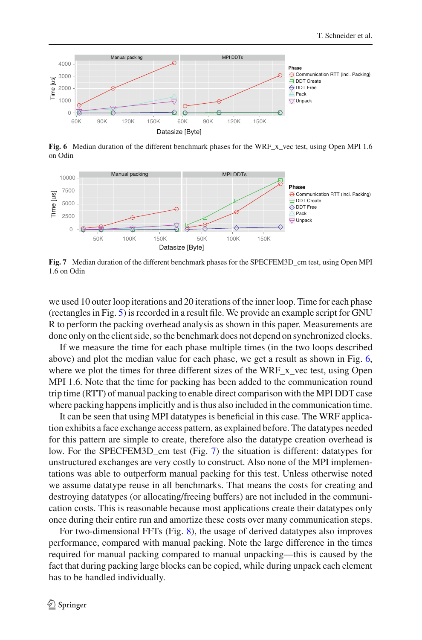

**Fig. 6** Median duration of the different benchmark phases for the WRF x vec test, using Open MPI 1.6 on Odin

<span id="page-9-0"></span>

<span id="page-9-1"></span>**Fig. 7** Median duration of the different benchmark phases for the SPECFEM3D\_cm test, using Open MPI 1.6 on Odin

we used 10 outer loop iterations and 20 iterations of the inner loop. Time for each phase (rectangles in Fig. [5\)](#page-8-1) is recorded in a result file. We provide an example script for GNU R to perform the packing overhead analysis as shown in this paper. Measurements are done only on the client side, so the benchmark does not depend on synchronized clocks.

If we measure the time for each phase multiple times (in the two loops described above) and plot the median value for each phase, we get a result as shown in Fig. [6,](#page-9-0) where we plot the times for three different sizes of the WRF x vec test, using Open MPI 1.6. Note that the time for packing has been added to the communication round trip time (RTT) of manual packing to enable direct comparison with the MPI DDT case where packing happens implicitly and is thus also included in the communication time.

It can be seen that using MPI datatypes is beneficial in this case. The WRF application exhibits a face exchange access pattern, as explained before. The datatypes needed for this pattern are simple to create, therefore also the datatype creation overhead is low. For the SPECFEM3D cm test (Fig. [7\)](#page-9-1) the situation is different: datatypes for unstructured exchanges are very costly to construct. Also none of the MPI implementations was able to outperform manual packing for this test. Unless otherwise noted we assume datatype reuse in all benchmarks. That means the costs for creating and destroying datatypes (or allocating/freeing buffers) are not included in the communication costs. This is reasonable because most applications create their datatypes only once during their entire run and amortize these costs over many communication steps.

For two-dimensional FFTs (Fig. [8\)](#page-10-0), the usage of derived datatypes also improves performance, compared with manual packing. Note the large difference in the times required for manual packing compared to manual unpacking—this is caused by the fact that during packing large blocks can be copied, while during unpack each element has to be handled individually.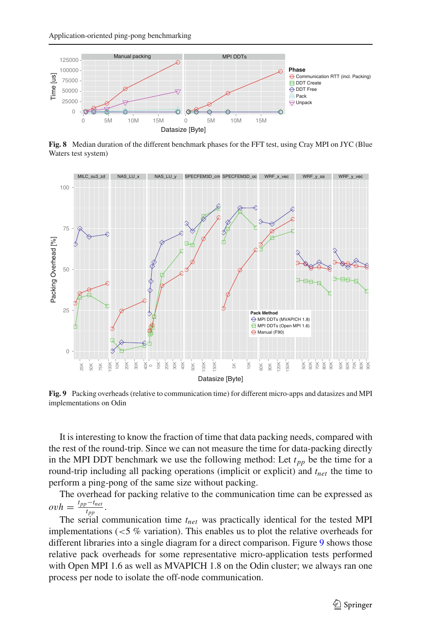

**Fig. 8** Median duration of the different benchmark phases for the FFT test, using Cray MPI on JYC (Blue Waters test system)

<span id="page-10-0"></span>

<span id="page-10-1"></span>**Fig. 9** Packing overheads (relative to communication time) for different micro-apps and datasizes and MPI implementations on Odin

It is interesting to know the fraction of time that data packing needs, compared with the rest of the round-trip. Since we can not measure the time for data-packing directly in the MPI DDT benchmark we use the following method: Let  $t_{pp}$  be the time for a round-trip including all packing operations (implicit or explicit) and  $t_{net}$  the time to perform a ping-pong of the same size without packing.

The overhead for packing relative to the communication time can be expressed as  $ovh = \frac{t_{pp} - t_{net}}{t_{pp}}$ .

 $T_{top}$   $t_{pp}$ <br>The serial communication time  $t_{net}$  was practically identical for the tested MPI implementations (*<*5 % variation). This enables us to plot the relative overheads for different libraries into a single diagram for a direct comparison. Figure [9](#page-10-1) shows those relative pack overheads for some representative micro-application tests performed with Open MPI 1.6 as well as MVAPICH 1.8 on the Odin cluster; we always ran one process per node to isolate the off-node communication.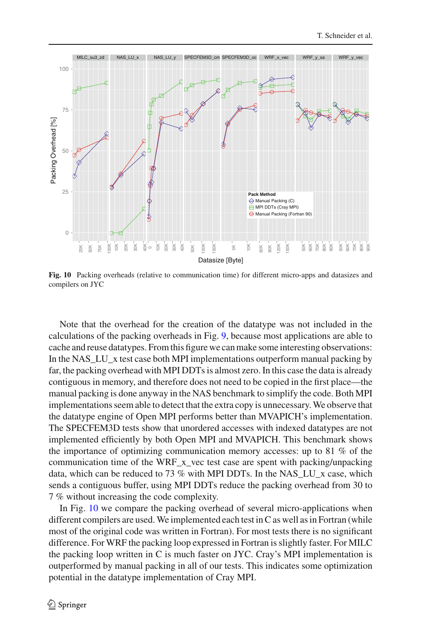

<span id="page-11-0"></span>**Fig. 10** Packing overheads (relative to communication time) for different micro-apps and datasizes and compilers on JYC

Note that the overhead for the creation of the datatype was not included in the calculations of the packing overheads in Fig. [9,](#page-10-1) because most applications are able to cache and reuse datatypes. From this figure we can make some interesting observations: In the NAS\_LU\_x test case both MPI implementations outperform manual packing by far, the packing overhead with MPI DDTs is almost zero. In this case the data is already contiguous in memory, and therefore does not need to be copied in the first place—the manual packing is done anyway in the NAS benchmark to simplify the code. Both MPI implementations seem able to detect that the extra copy is unnecessary. We observe that the datatype engine of Open MPI performs better than MVAPICH's implementation. The SPECFEM3D tests show that unordered accesses with indexed datatypes are not implemented efficiently by both Open MPI and MVAPICH. This benchmark shows the importance of optimizing communication memory accesses: up to 81 % of the communication time of the WRF\_x\_vec test case are spent with packing/unpacking data, which can be reduced to 73 % with MPI DDTs. In the NAS\_LU\_x case, which sends a contiguous buffer, using MPI DDTs reduce the packing overhead from 30 to 7 % without increasing the code complexity.

In Fig. [10](#page-11-0) we compare the packing overhead of several micro-applications when different compilers are used. We implemented each test in C as well as in Fortran (while most of the original code was written in Fortran). For most tests there is no significant difference. For WRF the packing loop expressed in Fortran is slightly faster. For MILC the packing loop written in C is much faster on JYC. Cray's MPI implementation is outperformed by manual packing in all of our tests. This indicates some optimization potential in the datatype implementation of Cray MPI.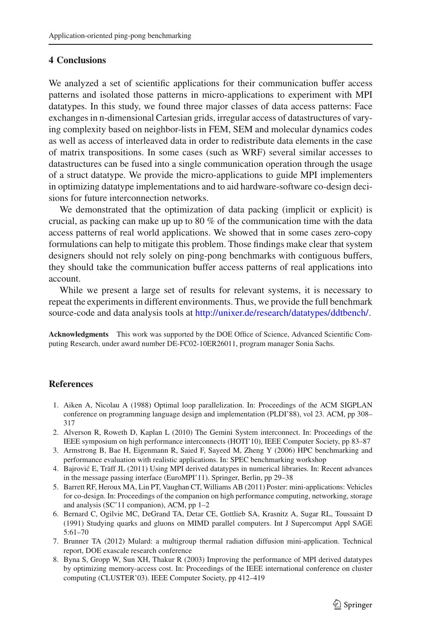### **4 Conclusions**

We analyzed a set of scientific applications for their communication buffer access patterns and isolated those patterns in micro-applications to experiment with MPI datatypes. In this study, we found three major classes of data access patterns: Face exchanges in n-dimensional Cartesian grids, irregular access of datastructures of varying complexity based on neighbor-lists in FEM, SEM and molecular dynamics codes as well as access of interleaved data in order to redistribute data elements in the case of matrix transpositions. In some cases (such as WRF) several similar accesses to datastructures can be fused into a single communication operation through the usage of a struct datatype. We provide the micro-applications to guide MPI implementers in optimizing datatype implementations and to aid hardware-software co-design decisions for future interconnection networks.

We demonstrated that the optimization of data packing (implicit or explicit) is crucial, as packing can make up up to 80 % of the communication time with the data access patterns of real world applications. We showed that in some cases zero-copy formulations can help to mitigate this problem. Those findings make clear that system designers should not rely solely on ping-pong benchmarks with contiguous buffers, they should take the communication buffer access patterns of real applications into account.

While we present a large set of results for relevant systems, it is necessary to repeat the experiments in different environments. Thus, we provide the full benchmark source-code and data analysis tools at [http://unixer.de/research/datatypes/ddtbench/.](http://unixer.de/research/datatypes/ddtbench/)

**Acknowledgments** This work was supported by the DOE Office of Science, Advanced Scientific Computing Research, under award number DE-FC02-10ER26011, program manager Sonia Sachs.

### <span id="page-12-2"></span>**References**

- 1. Aiken A, Nicolau A (1988) Optimal loop parallelization. In: Proceedings of the ACM SIGPLAN conference on programming language design and implementation (PLDI'88), vol 23. ACM, pp 308– 317
- <span id="page-12-0"></span>2. Alverson R, Roweth D, Kaplan L (2010) The Gemini System interconnect. In: Proceedings of the IEEE symposium on high performance interconnects (HOTI'10), IEEE Computer Society, pp 83–87
- <span id="page-12-7"></span>3. Armstrong B, Bae H, Eigenmann R, Saied F, Sayeed M, Zheng Y (2006) HPC benchmarking and performance evaluation with realistic applications. In: SPEC benchmarking workshop
- <span id="page-12-5"></span>4. Bajrović E, Träff JL (2011) Using MPI derived datatypes in numerical libraries. In: Recent advances in the message passing interface (EuroMPI'11). Springer, Berlin, pp 29–38
- <span id="page-12-3"></span>5. Barrett RF, Heroux MA, Lin PT, Vaughan CT, Williams AB (2011) Poster: mini-applications: Vehicles for co-design. In: Proceedings of the companion on high performance computing, networking, storage and analysis (SC'11 companion), ACM, pp 1–2
- <span id="page-12-6"></span>6. Bernard C, Ogilvie MC, DeGrand TA, Detar CE, Gottlieb SA, Krasnitz A, Sugar RL, Toussaint D (1991) Studying quarks and gluons on MIMD parallel computers. Int J Supercomput Appl SAGE 5:61–70
- <span id="page-12-4"></span>7. Brunner TA (2012) Mulard: a multigroup thermal radiation diffusion mini-application. Technical report, DOE exascale research conference
- <span id="page-12-1"></span>8. Byna S, Gropp W, Sun XH, Thakur R (2003) Improving the performance of MPI derived datatypes by optimizing memory-access cost. In: Proceedings of the IEEE international conference on cluster computing (CLUSTER'03). IEEE Computer Society, pp 412–419